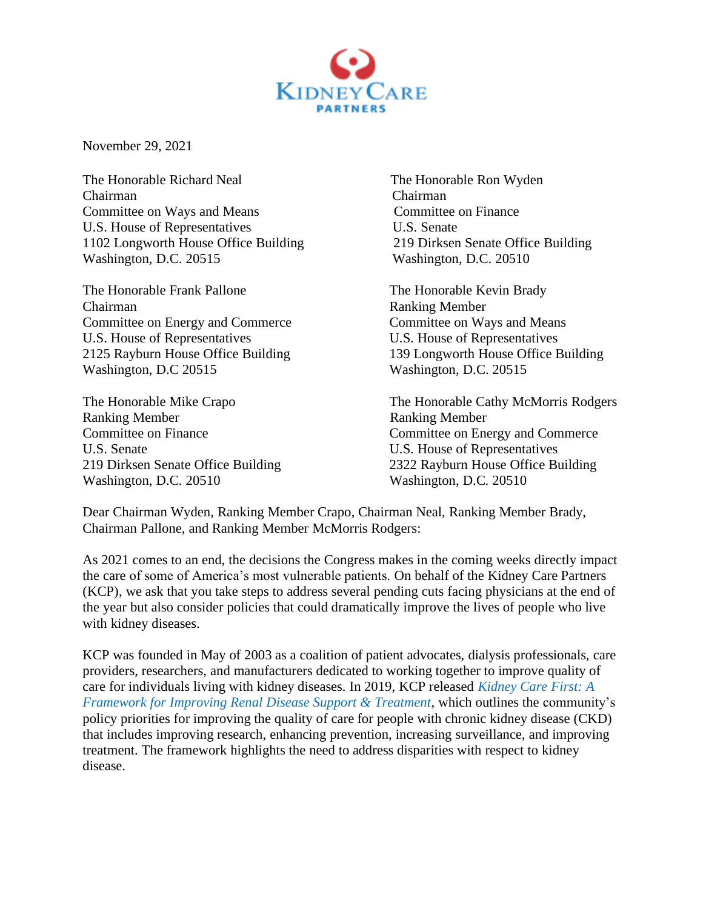

November 29, 2021

The Honorable Richard Neal The Honorable Ron Wyden Chairman Chairman Committee on Ways and Means Committee on Finance U.S. House of Representatives U.S. Senate 1102 Longworth House Office Building 219 Dirksen Senate Office Building Washington, D.C. 20515 Washington, D.C. 20510

The Honorable Frank Pallone The Honorable Kevin Brady Chairman Ranking Member Committee on Energy and Commerce Committee on Ways and Means U.S. House of Representatives U.S. House of Representatives Washington, D.C 20515 Washington, D.C. 20515

Ranking Member Ranking Member U.S. Senate U.S. House of Representatives Washington, D.C. 20510 Washington, D.C. 20510

2125 Rayburn House Office Building 139 Longworth House Office Building

The Honorable Mike Crapo The Honorable Cathy McMorris Rodgers Committee on Finance Committee on Energy and Commerce 219 Dirksen Senate Office Building 2322 Rayburn House Office Building

Dear Chairman Wyden, Ranking Member Crapo, Chairman Neal, Ranking Member Brady, Chairman Pallone, and Ranking Member McMorris Rodgers:

As 2021 comes to an end, the decisions the Congress makes in the coming weeks directly impact the care of some of America's most vulnerable patients. On behalf of the Kidney Care Partners (KCP), we ask that you take steps to address several pending cuts facing physicians at the end of the year but also consider policies that could dramatically improve the lives of people who live with kidney diseases.

KCP was founded in May of 2003 as a coalition of patient advocates, dialysis professionals, care providers, researchers, and manufacturers dedicated to working together to improve quality of care for individuals living with kidney diseases. In 2019, KCP released *Kidney Care First: A Framework for Improving Renal Disease Support & Treatment*, which outlines the community's policy priorities for improving the quality of care for people with chronic kidney disease (CKD) that includes improving research, enhancing prevention, increasing surveillance, and improving treatment. The framework highlights the need to address disparities with respect to kidney disease.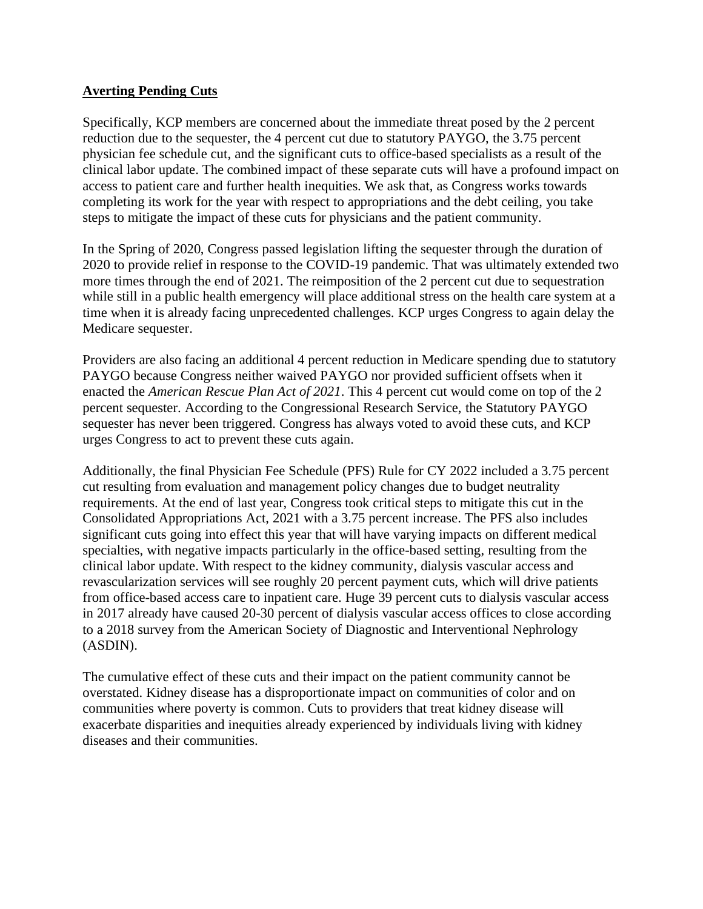## **Averting Pending Cuts**

Specifically, KCP members are concerned about the immediate threat posed by the 2 percent reduction due to the sequester, the 4 percent cut due to statutory PAYGO, the 3.75 percent physician fee schedule cut, and the significant cuts to office-based specialists as a result of the clinical labor update. The combined impact of these separate cuts will have a profound impact on access to patient care and further health inequities. We ask that, as Congress works towards completing its work for the year with respect to appropriations and the debt ceiling, you take steps to mitigate the impact of these cuts for physicians and the patient community.

In the Spring of 2020, Congress passed legislation lifting the sequester through the duration of 2020 to provide relief in response to the COVID-19 pandemic. That was ultimately extended two more times through the end of 2021. The reimposition of the 2 percent cut due to sequestration while still in a public health emergency will place additional stress on the health care system at a time when it is already facing unprecedented challenges. KCP urges Congress to again delay the Medicare sequester.

Providers are also facing an additional 4 percent reduction in Medicare spending due to statutory PAYGO because Congress neither waived PAYGO nor provided sufficient offsets when it enacted the *American Rescue Plan Act of 2021*. This 4 percent cut would come on top of the 2 percent sequester. According to the Congressional Research Service, the Statutory PAYGO sequester has never been triggered. Congress has always voted to avoid these cuts, and KCP urges Congress to act to prevent these cuts again.

Additionally, the final Physician Fee Schedule (PFS) Rule for CY 2022 included a 3.75 percent cut resulting from evaluation and management policy changes due to budget neutrality requirements. At the end of last year, Congress took critical steps to mitigate this cut in the Consolidated Appropriations Act, 2021 with a 3.75 percent increase. The PFS also includes significant cuts going into effect this year that will have varying impacts on different medical specialties, with negative impacts particularly in the office-based setting, resulting from the clinical labor update. With respect to the kidney community, dialysis vascular access and revascularization services will see roughly 20 percent payment cuts, which will drive patients from office-based access care to inpatient care. Huge 39 percent cuts to dialysis vascular access in 2017 already have caused 20-30 percent of dialysis vascular access offices to close according to a 2018 survey from the American Society of Diagnostic and Interventional Nephrology (ASDIN).

The cumulative effect of these cuts and their impact on the patient community cannot be overstated. Kidney disease has a disproportionate impact on communities of color and on communities where poverty is common. Cuts to providers that treat kidney disease will exacerbate disparities and inequities already experienced by individuals living with kidney diseases and their communities.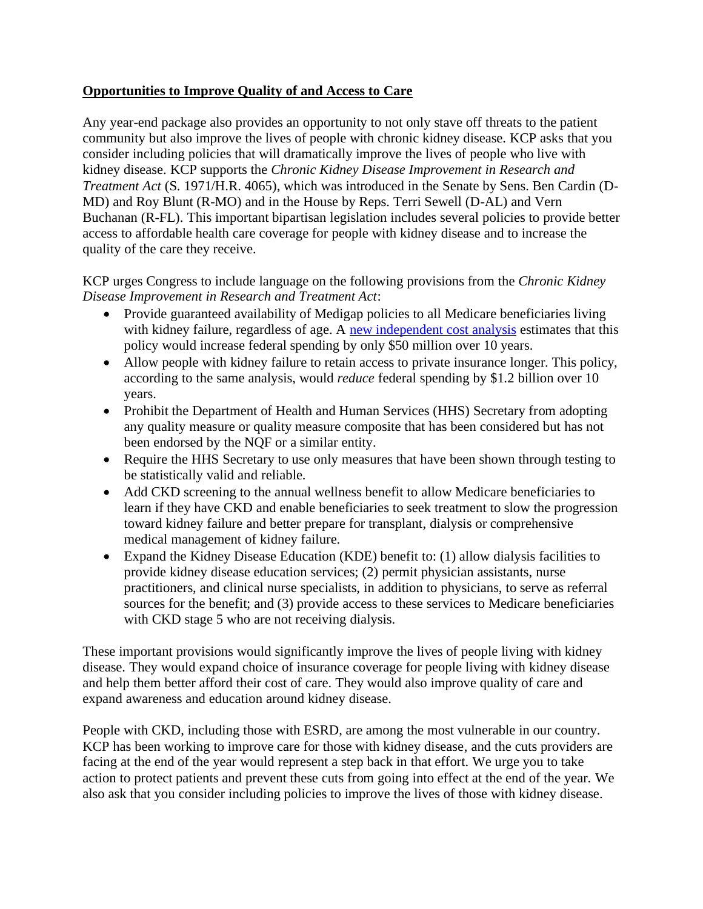## **Opportunities to Improve Quality of and Access to Care**

Any year-end package also provides an opportunity to not only stave off threats to the patient community but also improve the lives of people with chronic kidney disease. KCP asks that you consider including policies that will dramatically improve the lives of people who live with kidney disease. KCP supports the *Chronic Kidney Disease Improvement in Research and Treatment Act* (S. 1971/H.R. 4065), which was introduced in the Senate by Sens. Ben Cardin (D-MD) and Roy Blunt (R-MO) and in the House by Reps. Terri Sewell (D-AL) and Vern Buchanan (R-FL). This important bipartisan legislation includes several policies to provide better access to affordable health care coverage for people with kidney disease and to increase the quality of the care they receive.

KCP urges Congress to include language on the following provisions from the *Chronic Kidney Disease Improvement in Research and Treatment Act*:

- Provide guaranteed availability of Medigap policies to all Medicare beneficiaries living with kidney failure, regardless of age. A new independent cost analysis estimates that this policy would increase federal spending by only \$50 million over 10 years.
- Allow people with kidney failure to retain access to private insurance longer. This policy, according to the same analysis, would *reduce* federal spending by \$1.2 billion over 10 years.
- Prohibit the Department of Health and Human Services (HHS) Secretary from adopting any quality measure or quality measure composite that has been considered but has not been endorsed by the NQF or a similar entity.
- Require the HHS Secretary to use only measures that have been shown through testing to be statistically valid and reliable.
- Add CKD screening to the annual wellness benefit to allow Medicare beneficiaries to learn if they have CKD and enable beneficiaries to seek treatment to slow the progression toward kidney failure and better prepare for transplant, dialysis or comprehensive medical management of kidney failure.
- Expand the Kidney Disease Education (KDE) benefit to: (1) allow dialysis facilities to provide kidney disease education services; (2) permit physician assistants, nurse practitioners, and clinical nurse specialists, in addition to physicians, to serve as referral sources for the benefit; and (3) provide access to these services to Medicare beneficiaries with CKD stage 5 who are not receiving dialysis.

These important provisions would significantly improve the lives of people living with kidney disease. They would expand choice of insurance coverage for people living with kidney disease and help them better afford their cost of care. They would also improve quality of care and expand awareness and education around kidney disease.

People with CKD, including those with ESRD, are among the most vulnerable in our country. KCP has been working to improve care for those with kidney disease, and the cuts providers are facing at the end of the year would represent a step back in that effort. We urge you to take action to protect patients and prevent these cuts from going into effect at the end of the year. We also ask that you consider including policies to improve the lives of those with kidney disease.